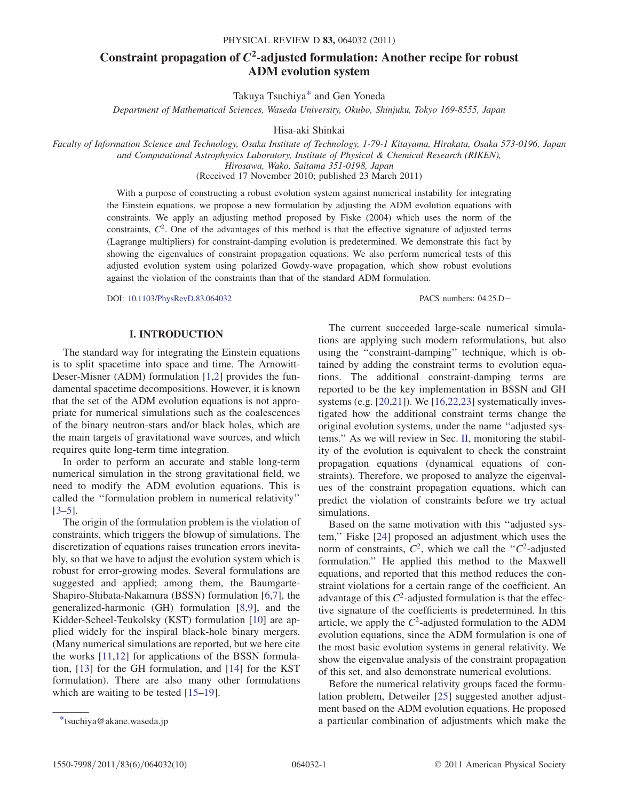# Constraint propagation of  $C^2$ -adjusted formulation: Another recipe for robust ADM evolution system

Takuya Tsuchiya[\\*](#page-0-0) and Gen Yoneda

Department of Mathematical Sciences, Waseda University, Okubo, Shinjuku, Tokyo 169-8555, Japan

Hisa-aki Shinkai

<span id="page-0-1"></span>Faculty of Information Science and Technology, Osaka Institute of Technology, 1-79-1 Kitayama, Hirakata, Osaka 573-0196, Japan and Computational Astrophysics Laboratory, Institute of Physical & Chemical Research (RIKEN), Hirosawa, Wako, Saitama 351-0198, Japan (Received 17 November 2010; published 23 March 2011)

> With a purpose of constructing a robust evolution system against numerical instability for integrating the Einstein equations, we propose a new formulation by adjusting the ADM evolution equations with constraints. We apply an adjusting method proposed by Fiske (2004) which uses the norm of the constraints,  $C<sup>2</sup>$ . One of the advantages of this method is that the effective signature of adjusted terms (Lagrange multipliers) for constraint-damping evolution is predetermined. We demonstrate this fact by showing the eigenvalues of constraint propagation equations. We also perform numerical tests of this adjusted evolution system using polarized Gowdy-wave propagation, which show robust evolutions against the violation of the constraints than that of the standard ADM formulation.

> DOI: [10.1103/PhysRevD.83.064032](http://dx.doi.org/10.1103/PhysRevD.83.064032) PACS numbers: 04.25.D

## I. INTRODUCTION

The standard way for integrating the Einstein equations is to split spacetime into space and time. The Arnowitt-Deser-Misner (ADM) formulation [[1](#page-9-0),[2](#page-9-1)] provides the fundamental spacetime decompositions. However, it is known that the set of the ADM evolution equations is not appropriate for numerical simulations such as the coalescences of the binary neutron-stars and/or black holes, which are the main targets of gravitational wave sources, and which requires quite long-term time integration.

In order to perform an accurate and stable long-term numerical simulation in the strong gravitational field, we need to modify the ADM evolution equations. This is called the ''formulation problem in numerical relativity'' [\[3–](#page-9-2)[5](#page-9-3)].

The origin of the formulation problem is the violation of constraints, which triggers the blowup of simulations. The discretization of equations raises truncation errors inevitably, so that we have to adjust the evolution system which is robust for error-growing modes. Several formulations are suggested and applied; among them, the Baumgarte-Shapiro-Shibata-Nakamura (BSSN) formulation [[6](#page-9-4),[7\]](#page-9-5), the generalized-harmonic (GH) formulation [\[8,](#page-9-6)[9](#page-9-7)], and the Kidder-Scheel-Teukolsky (KST) formulation [[10](#page-9-8)] are applied widely for the inspiral black-hole binary mergers. (Many numerical simulations are reported, but we here cite the works [[11](#page-9-9),[12](#page-9-10)] for applications of the BSSN formulation, [\[13\]](#page-9-11) for the GH formulation, and [[14](#page-9-12)] for the KST formulation). There are also many other formulations which are waiting to be tested [[15](#page-9-13)–[19](#page-9-14)].

The current succeeded large-scale numerical simulations are applying such modern reformulations, but also using the ''constraint-damping'' technique, which is obtained by adding the constraint terms to evolution equations. The additional constraint-damping terms are reported to be the key implementation in BSSN and GH systems (e.g. [[20](#page-9-15),[21](#page-9-16)]). We [\[16](#page-9-17)[,22,](#page-9-18)[23\]](#page-9-19) systematically investigated how the additional constraint terms change the original evolution systems, under the name ''adjusted systems.'' As we will review in Sec. [II](#page-1-0), monitoring the stability of the evolution is equivalent to check the constraint propagation equations (dynamical equations of constraints). Therefore, we proposed to analyze the eigenvalues of the constraint propagation equations, which can predict the violation of constraints before we try actual simulations.

Based on the same motivation with this ''adjusted system,'' Fiske [[24](#page-9-20)] proposed an adjustment which uses the norm of constraints,  $C^2$ , which we call the " $C^2$ -adjusted" formulation.'' He applied this method to the Maxwell equations, and reported that this method reduces the constraint violations for a certain range of the coefficient. An advantage of this  $C^2$ -adjusted formulation is that the effective signature of the coefficients is predetermined. In this article, we apply the  $C^2$ -adjusted formulation to the ADM evolution equations, since the ADM formulation is one of the most basic evolution systems in general relativity. We show the eigenvalue analysis of the constraint propagation of this set, and also demonstrate numerical evolutions.

Before the numerical relativity groups faced the formulation problem, Detweiler [\[25\]](#page-9-21) suggested another adjustment based on the ADM evolution equations. He proposed [\\*t](#page-0-1)suchiya@akane.waseda.jp a particular combination of adjustments which make the

<span id="page-0-0"></span>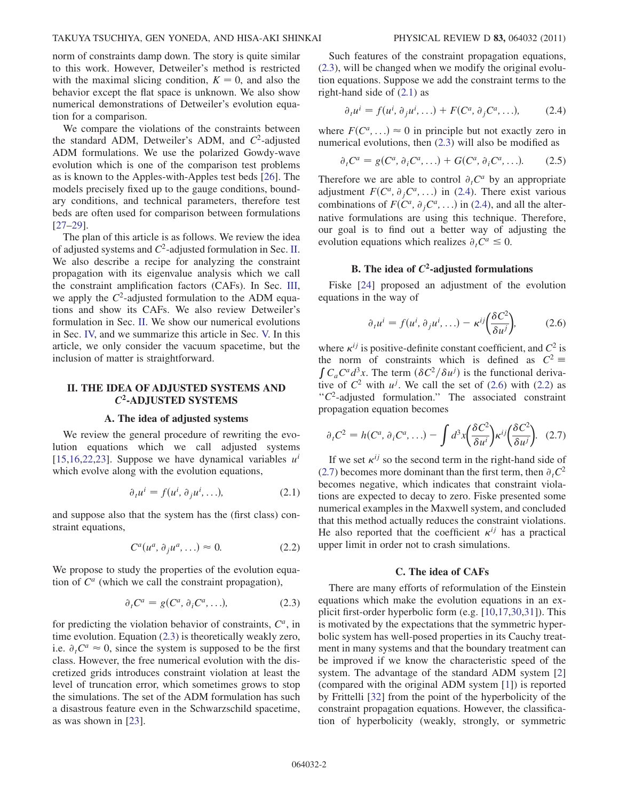norm of constraints damp down. The story is quite similar to this work. However, Detweiler's method is restricted with the maximal slicing condition,  $K = 0$ , and also the behavior except the flat space is unknown. We also show numerical demonstrations of Detweiler's evolution equation for a comparison.

We compare the violations of the constraints between the standard ADM, Detweiler's ADM, and  $C^2$ -adjusted ADM formulations. We use the polarized Gowdy-wave evolution which is one of the comparison test problems as is known to the Apples-with-Apples test beds [\[26\]](#page-9-22). The models precisely fixed up to the gauge conditions, boundary conditions, and technical parameters, therefore test beds are often used for comparison between formulations [\[27–](#page-9-23)[29\]](#page-9-24).

The plan of this article is as follows. We review the idea of adjusted systems and  $C^2$ -adjusted formulation in Sec. [II](#page-1-0). We also describe a recipe for analyzing the constraint propagation with its eigenvalue analysis which we call the constraint amplification factors (CAFs). In Sec. [III](#page-2-0), we apply the  $C<sup>2</sup>$ -adjusted formulation to the ADM equations and show its CAFs. We also review Detweiler's formulation in Sec. [II.](#page-1-0) We show our numerical evolutions in Sec. [IV,](#page-3-0) and we summarize this article in Sec. [V.](#page-6-0) In this article, we only consider the vacuum spacetime, but the inclusion of matter is straightforward.

# <span id="page-1-0"></span>II. THE IDEA OF ADJUSTED SYSTEMS AND C2-ADJUSTED SYSTEMS

### A. The idea of adjusted systems

<span id="page-1-2"></span>We review the general procedure of rewriting the evolution equations which we call adjusted systems [\[15](#page-9-13)[,16,](#page-9-17)[22](#page-9-18),[23](#page-9-19)]. Suppose we have dynamical variables  $u^{i}$ which evolve along with the evolution equations,

$$
\partial_t u^i = f(u^i, \partial_j u^i, \ldots), \tag{2.1}
$$

<span id="page-1-5"></span>and suppose also that the system has the (first class) constraint equations,

$$
C^a(u^a, \partial_j u^a, \ldots) \approx 0. \tag{2.2}
$$

<span id="page-1-1"></span>We propose to study the properties of the evolution equation of  $C^a$  (which we call the constraint propagation),

$$
\partial_t C^a = g(C^a, \partial_i C^a, \ldots), \tag{2.3}
$$

for predicting the violation behavior of constraints,  $C^a$ , in time evolution. Equation [\(2.3\)](#page-1-1) is theoretically weakly zero, i.e.  $\partial_t C^a \approx 0$ , since the system is supposed to be the first class. However, the free numerical evolution with the disclass. However, the free numerical evolution with the discretized grids introduces constraint violation at least the level of truncation error, which sometimes grows to stop the simulations. The set of the ADM formulation has such a disastrous feature even in the Schwarzschild spacetime, as was shown in [[23](#page-9-19)].

Such features of the constraint propagation equations, [\(2.3\)](#page-1-1), will be changed when we modify the original evolution equations. Suppose we add the constraint terms to the right-hand side of ([2.1](#page-1-2)) as

<span id="page-1-3"></span>
$$
\partial_t u^i = f(u^i, \partial_j u^i, \ldots) + F(C^a, \partial_j C^a, \ldots), \tag{2.4}
$$

<span id="page-1-7"></span>where  $F(C^a, \ldots) \approx 0$  in principle but not exactly zero in<br>numerical evolutions then (2.3) will also be modified as numerical evolutions, then ([2.3](#page-1-1)) will also be modified as

$$
\partial_t C^a = g(C^a, \partial_i C^a, \ldots) + G(C^a, \partial_i C^a, \ldots). \tag{2.5}
$$

Therefore we are able to control  $\partial_t C^a$  by an appropriate adjustment  $F(C^a, \partial_i C^a, ...)$  in [\(2.4\)](#page-1-3). There exist various combinations of  $F(\mathcal{C}^a, \partial_i \mathcal{C}^a, ...)$  in ([2.4](#page-1-3)), and all the alternative formulations are using this technique. Therefore, our goal is to find out a better way of adjusting the evolution equations which realizes  $\partial_t C^a \leq 0$ .

# B. The idea of  $C^2$ -adjusted formulations

<span id="page-1-4"></span>Fiske [\[24\]](#page-9-20) proposed an adjustment of the evolution equations in the way of

$$
\partial_t u^i = f(u^i, \partial_j u^i, \ldots) - \kappa^{ij} \left( \frac{\delta C^2}{\delta u^j} \right), \tag{2.6}
$$

where  $\kappa^{ij}$  is positive-definite constant coefficient, and  $C^2$  is the norm of constraints which is defined as  $C^2 \equiv$ the norm of constraints which is defined as  $C^2 \equiv \int C_a C^a d^3x$ . The term  $(\delta C^2 / \delta u^j)$  is the functional derivative of  $C^2$  with  $u^j$ . We call the set of (2.6) with (2.2) as  $\frac{C^2}{\delta u^j}$  is the functional deriva-<br>call the set of (2.6) with (2.2) as tive of  $C^2$  with  $u^j$ . We call the set of ([2.6](#page-1-4)) with [\(2.2\)](#page-1-5) as  $C^2$ -adjusted formulation." The associated constraint propagation equation becomes

<span id="page-1-6"></span>
$$
\partial_t C^2 = h(C^a, \partial_i C^a, \ldots) - \int d^3x \left(\frac{\delta C^2}{\delta u^i}\right) \kappa^{ij} \left(\frac{\delta C^2}{\delta u^j}\right). \tag{2.7}
$$

If we set  $\kappa^{ij}$  so the second term in the right-hand side of [\(2.7\)](#page-1-6) becomes more dominant than the first term, then  $\partial_t C^2$ becomes negative, which indicates that constraint violations are expected to decay to zero. Fiske presented some numerical examples in the Maxwell system, and concluded that this method actually reduces the constraint violations. He also reported that the coefficient  $\kappa^{ij}$  has a practical upper limit in order not to crash simulations.

#### C. The idea of CAFs

There are many efforts of reformulation of the Einstein equations which make the evolution equations in an explicit first-order hyperbolic form (e.g. [\[10,](#page-9-8)[17,](#page-9-25)[30](#page-9-26),[31](#page-9-27)]). This is motivated by the expectations that the symmetric hyperbolic system has well-posed properties in its Cauchy treatment in many systems and that the boundary treatment can be improved if we know the characteristic speed of the system. The advantage of the standard ADM system [\[2\]](#page-9-1) (compared with the original ADM system [[1\]](#page-9-0)) is reported by Frittelli [[32](#page-9-28)] from the point of the hyperbolicity of the constraint propagation equations. However, the classification of hyperbolicity (weakly, strongly, or symmetric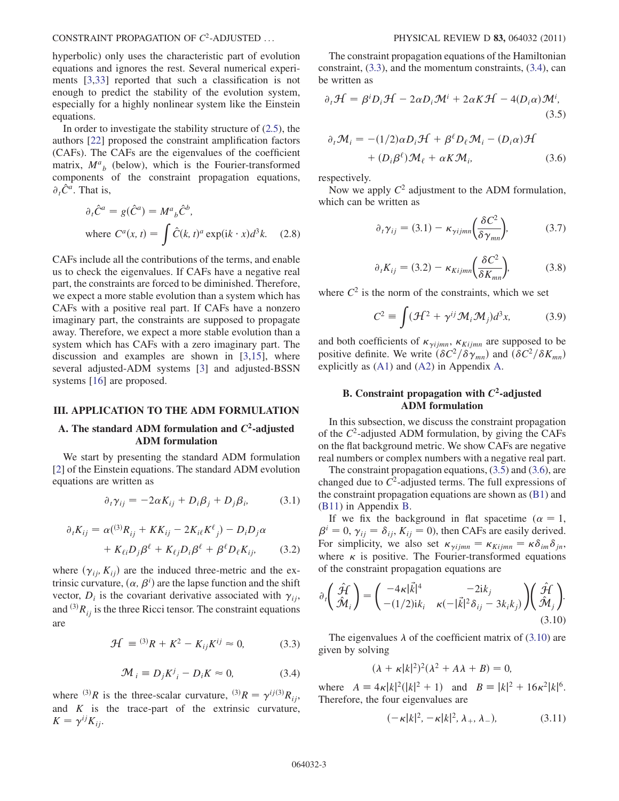CONSTRAINT PROPAGATION OF  $C^2$ -ADJUSTED ... PHYSICAL REVIEW D 83, 064032 (2011)

hyperbolic) only uses the characteristic part of evolution equations and ignores the rest. Several numerical experiments [\[3](#page-9-2),[33](#page-9-29)] reported that such a classification is not enough to predict the stability of the evolution system, especially for a highly nonlinear system like the Einstein equations.

In order to investigate the stability structure of  $(2.5)$  $(2.5)$  $(2.5)$ , the authors [[22](#page-9-18)] proposed the constraint amplification factors (CAFs). The CAFs are the eigenvalues of the coefficient matrix,  $M_{b}^{a}$  (below), which is the Fourier-transformed components of the constraint propagation equations,  $\partial_t \hat{C}^a$ . That is,

$$
\partial_t \hat{C}^a = g(\hat{C}^a) = M^a{}_b \hat{C}^b,
$$
  
where  $C^a(x, t) = \int \hat{C}(k, t)^a \exp(ik \cdot x) d^3k.$  (2.8)

CAFs include all the contributions of the terms, and enable us to check the eigenvalues. If CAFs have a negative real part, the constraints are forced to be diminished. Therefore, we expect a more stable evolution than a system which has CAFs with a positive real part. If CAFs have a nonzero imaginary part, the constraints are supposed to propagate away. Therefore, we expect a more stable evolution than a system which has CAFs with a zero imaginary part. The discussion and examples are shown in [[3](#page-9-2)[,15\]](#page-9-13), where several adjusted-ADM systems [[3\]](#page-9-2) and adjusted-BSSN systems [[16\]](#page-9-17) are proposed.

#### <span id="page-2-0"></span>III. APPLICATION TO THE ADM FORMULATION

# A. The standard ADM formulation and  $C^2$ -adjusted ADM formulation

<span id="page-2-8"></span>We start by presenting the standard ADM formulation [\[2\]](#page-9-1) of the Einstein equations. The standard ADM evolution equations are written as

$$
\partial_t \gamma_{ij} = -2\alpha K_{ij} + D_i \beta_j + D_j \beta_i, \qquad (3.1)
$$

$$
\partial_t K_{ij} = \alpha({}^{(3)}R_{ij} + KK_{ij} - 2K_{i\ell}K^{\ell}_{j}) - D_iD_j\alpha
$$

$$
+ K_{\ell i}D_j\beta^{\ell} + K_{\ell j}D_i\beta^{\ell} + \beta^{\ell}D_{\ell}K_{ij}, \qquad (3.2)
$$

<span id="page-2-7"></span><span id="page-2-2"></span>where  $(\gamma_{ij}, K_{ij})$  are the induced three-metric and the extrinsic curvature,  $(\alpha, \beta^i)$  are the lapse function and the shift<br>vector D, is the covariant derivative associated with  $\gamma_i$ . vector,  $D_i$  is the covariant derivative associated with  $\gamma_{ii}$ , and  $^{(3)}R_{ij}$  is the three Ricci tensor. The constraint equations are

$$
\mathcal{H} = {}^{(3)}R + K^2 - K_{ij}K^{ij} \approx 0,
$$
 (3.3)

$$
\mathcal{M}_i \equiv D_j K^j{}_i - D_i K \approx 0,\tag{3.4}
$$

<span id="page-2-1"></span>where <sup>(3)</sup>R is the three-scalar curvature, <sup>(3)</sup>R =  $\gamma^{ij(3)}R_{ij}$ , and  $K$  is the trace-part of the extrinsic curvature,  $K = \gamma^{ij}K_{ij}.$ 

The constraint propagation equations of the Hamiltonian constraint, [\(3.3\)](#page-2-1), and the momentum constraints, [\(3.4\)](#page-2-2), can be written as

<span id="page-2-4"></span>
$$
\partial_t \mathcal{H} = \beta^i D_i \mathcal{H} - 2\alpha D_i \mathcal{M}^i + 2\alpha K \mathcal{H} - 4(D_i \alpha) \mathcal{M}^i, \tag{3.5}
$$

$$
\partial_t \mathcal{M}_i = -(1/2)\alpha D_i \mathcal{H} + \beta^\ell D_\ell \mathcal{M}_i - (D_i \alpha) \mathcal{H}
$$

$$
+ (D_i \beta^\ell) \mathcal{M}_\ell + \alpha K \mathcal{M}_i, \tag{3.6}
$$

<span id="page-2-3"></span>respectively.

<span id="page-2-10"></span>Now we apply  $C^2$  adjustment to the ADM formulation, which can be written as

$$
\partial_t \gamma_{ij} = (3.1) - \kappa_{\gamma i j m n} \left( \frac{\delta C^2}{\delta \gamma_{m n}} \right), \tag{3.7}
$$

$$
\partial_t K_{ij} = (3.2) - \kappa_{Kijmn} \left( \frac{\delta C^2}{\delta K_{mn}} \right), \tag{3.8}
$$

<span id="page-2-9"></span>where  $C^2$  is the norm of the constraints, which we set

$$
C^2 \equiv \int (\mathcal{H}^2 + \gamma^{ij} \mathcal{M}_i \mathcal{M}_j) d^3 x, \tag{3.9}
$$

and both coefficients of  $\kappa_{\gamma i j m n}$ ,  $\kappa_{K i j m n}$  are supposed to be positive definite. We write  $(\delta C^2/\delta \gamma_{mn})$  and  $(\delta C^2/\delta K_{mn})$ <br>explicitly as (A1) and (A2) in Appendix A explicitly as (A1) and ([A2\)](#page-6-1) in Appendix [A](#page-6-2).

### B. Constraint propagation with  $C^2$ -adjusted ADM formulation

In this subsection, we discuss the constraint propagation of the  $C^2$ -adjusted ADM formulation, by giving the CAFs on the flat background metric. We show CAFs are negative real numbers or complex numbers with a negative real part.

The constraint propagation equations, ([3.5](#page-2-3)) and ([3.6](#page-2-4)), are changed due to  $C^2$ -adjusted terms. The full expressions of the constraint propagation equations are shown as [\(B1](#page-7-0)) and [\(B11\)](#page-8-0) in Appendix [B.](#page-7-1)

If we fix the background in flat spacetime ( $\alpha = 1$ ,  $\beta^i = 0$ ,  $\gamma_{ij} = \delta_{ij}$ ,  $K_{ij} = 0$ ), then CAFs are easily derived.<br>For simplicity, we also set  $\kappa_{ij} = \kappa_{ij} = \kappa \delta_{ij}$ For simplicity, we also set  $\kappa_{\gamma i jmn} = \kappa_{K i jmn} = \kappa \delta_{im} \delta_{jn}$ ,<br>where  $\kappa$  is nositive. The Fourier-transformed equations where  $\kappa$  is positive. The Fourier-transformed equations of the constraint propagation equations are

<span id="page-2-5"></span>
$$
\partial_t \left( \hat{\mathcal{H}}_i \right) = \begin{pmatrix} -4\kappa |\vec{k}|^4 & -2ik_j \\ -(1/2)ik_i & \kappa(-|\vec{k}|^2 \delta_{ij} - 3k_ik_j) \end{pmatrix} \begin{pmatrix} \hat{\mathcal{H}} \\ \hat{\mathcal{M}}_j \end{pmatrix} . \tag{3.10}
$$

The eigenvalues  $\lambda$  of the coefficient matrix of [\(3.10](#page-2-5)) are given by solving

$$
(\lambda + \kappa |k|^2)^2 (\lambda^2 + A\lambda + B) = 0,
$$

<span id="page-2-6"></span>where  $A = 4\kappa |k|^2 (|k|^2 + 1)$  and  $B = |k|^2 + 16\kappa^2 |k|^6$ .<br>Therefore the four eigenvalues are Therefore, the four eigenvalues are

$$
(-\kappa|k|^2, -\kappa|k|^2, \lambda_+, \lambda_-), \tag{3.11}
$$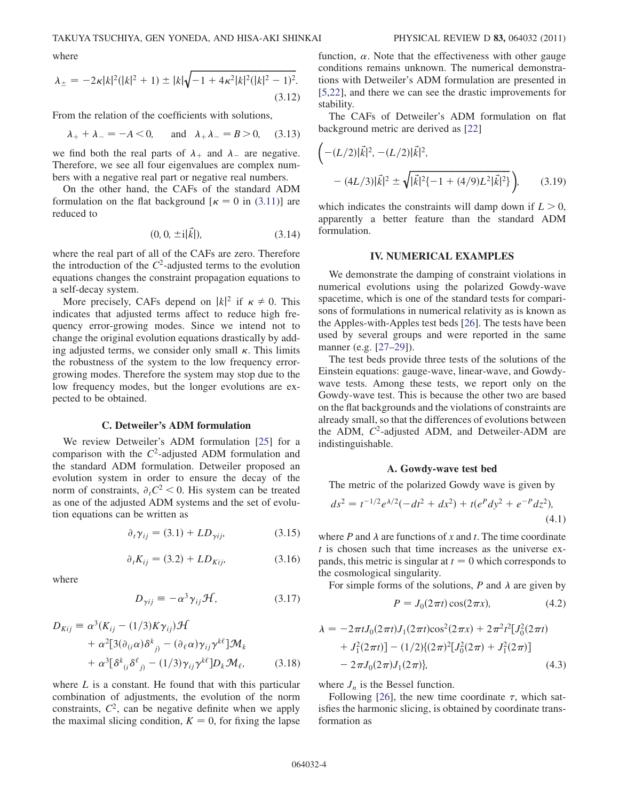where

$$
\lambda_{\pm} = -2\kappa |k|^2 (|k|^2 + 1) \pm |k|\sqrt{-1 + 4\kappa^2 |k|^2 (|k|^2 - 1)^2}.
$$
\n(3.12)

From the relation of the coefficients with solutions,

$$
\lambda_{+} + \lambda_{-} = -A < 0
$$
, and  $\lambda_{+} \lambda_{-} = B > 0$ , (3.13)

we find both the real parts of  $\lambda_+$  and  $\lambda_-$  are negative. Therefore, we see all four eigenvalues are complex numbers with a negative real part or negative real numbers.

On the other hand, the CAFs of the standard ADM formulation on the flat background  $\kappa = 0$  in ([3.11](#page-2-6))] are reduced to

$$
(0, 0, \pm i|\vec{k}|), \tag{3.14}
$$

where the real part of all of the CAFs are zero. Therefore the introduction of the  $C^2$ -adjusted terms to the evolution equations changes the constraint propagation equations to a self-decay system.

More precisely, CAFs depend on  $|k|^2$  if  $\kappa \neq 0$ . This dicates that adjusted terms affect to reduce high freindicates that adjusted terms affect to reduce high frequency error-growing modes. Since we intend not to change the original evolution equations drastically by adding adjusted terms, we consider only small  $\kappa$ . This limits the robustness of the system to the low frequency errorgrowing modes. Therefore the system may stop due to the low frequency modes, but the longer evolutions are expected to be obtained.

#### C. Detweiler's ADM formulation

We review Detweiler's ADM formulation [[25](#page-9-21)] for a comparison with the  $C^2$ -adjusted ADM formulation and the standard ADM formulation. Detweiler proposed an evolution system in order to ensure the decay of the norm of constraints,  $\partial_t C^2 < 0$ . His system can be treated as one of the adjusted ADM systems and the set of evolution equations can be written as

$$
\partial_t \gamma_{ij} = (3.1) + LD_{\gamma ij}, \tag{3.15}
$$

$$
\partial_t K_{ij} = (3.2) + LD_{Kij}, \tag{3.16}
$$

<span id="page-3-4"></span><span id="page-3-2"></span><span id="page-3-1"></span>where

$$
D_{\gamma ij} \equiv -\alpha^3 \gamma_{ij} \mathcal{H}, \qquad (3.17)
$$

$$
D_{Kij} = \alpha^3 (K_{ij} - (1/3)K\gamma_{ij}) \mathcal{H}
$$
  
+  $\alpha^2 [3(\partial_{(i}\alpha)\delta^k_{\ j)} - (\partial_{\ell}\alpha)\gamma_{ij}\gamma^{k\ell}] \mathcal{M}_k$   
+  $\alpha^3 [\delta^k_{\ (i}\delta^{\ell}_{\ j)} - (1/3)\gamma_{ij}\gamma^{k\ell}] D_k \mathcal{M}_{\ell},$  (3.18)

<span id="page-3-3"></span>where  $L$  is a constant. He found that with this particular combination of adjustments, the evolution of the norm constraints,  $C^2$ , can be negative definite when we apply the maximal slicing condition,  $K = 0$ , for fixing the lapse

function,  $\alpha$ . Note that the effectiveness with other gauge conditions remains unknown. The numerical demonstrations with Detweiler's ADM formulation are presented in [\[5,](#page-9-3)[22\]](#page-9-18), and there we can see the drastic improvements for stability.

The CAFs of Detweiler's ADM formulation on flat background metric are derived as [[22](#page-9-18)]

$$
\left(-(L/2)|\vec{k}|^2, -(L/2)|\vec{k}|^2, \right.
$$
  
 
$$
-(4L/3)|\vec{k}|^2 \pm \sqrt{|\vec{k}|^2(-1 + (4/9)L^2|\vec{k}|^2)}\right), \qquad (3.19)
$$

which indicates the constraints will damp down if  $L > 0$ , apparently a better feature than the standard ADM formulation.

### IV. NUMERICAL EXAMPLES

<span id="page-3-0"></span>We demonstrate the damping of constraint violations in numerical evolutions using the polarized Gowdy-wave spacetime, which is one of the standard tests for comparisons of formulations in numerical relativity as is known as the Apples-with-Apples test beds [\[26\]](#page-9-22). The tests have been used by several groups and were reported in the same manner (e.g. [[27](#page-9-23)[–29\]](#page-9-24)).

The test beds provide three tests of the solutions of the Einstein equations: gauge-wave, linear-wave, and Gowdywave tests. Among these tests, we report only on the Gowdy-wave test. This is because the other two are based on the flat backgrounds and the violations of constraints are already small, so that the differences of evolutions between the ADM,  $C^2$ -adjusted ADM, and Detweiler-ADM are indistinguishable.

#### A. Gowdy-wave test bed

The metric of the polarized Gowdy wave is given by

$$
ds^{2} = t^{-1/2}e^{\lambda/2}(-dt^{2} + dx^{2}) + t(e^{P}dy^{2} + e^{-P}dz^{2}),
$$
\n(4.1)

where P and  $\lambda$  are functions of x and t. The time coordinate  $t$  is chosen such that time increases as the universe expands, this metric is singular at  $t = 0$  which corresponds to the cosmological singularity.

For simple forms of the solutions, P and  $\lambda$  are given by

$$
P = J_0(2\pi t)\cos(2\pi x),\tag{4.2}
$$

$$
\lambda = -2\pi t J_0(2\pi t)J_1(2\pi t)\cos^2(2\pi x) + 2\pi^2 t^2 [J_0^2(2\pi t) + J_1^2(2\pi t)] - (1/2)\{(2\pi)^2 [J_0^2(2\pi) + J_1^2(2\pi)] - 2\pi J_0(2\pi)J_1(2\pi)\},
$$
\n(4.3)

where  $J_n$  is the Bessel function.

Following [\[26\]](#page-9-22), the new time coordinate  $\tau$ , which satisfies the harmonic slicing, is obtained by coordinate transformation as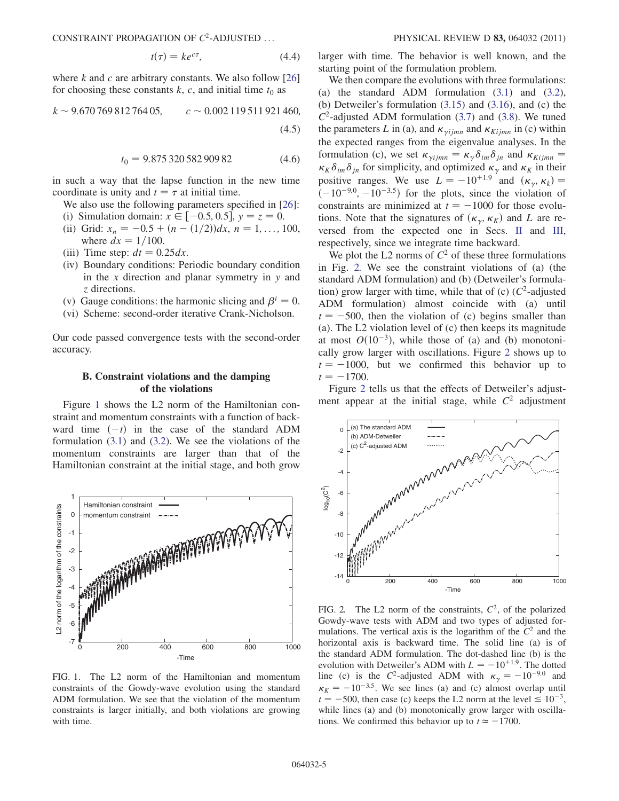CONSTRAINT PROPAGATION OF  $C^2$ -ADJUSTED ... PHYSICAL REVIEW D 83, 064032 (2011)

$$
t(\tau) = ke^{c\tau}, \tag{4.4}
$$

where  $k$  and  $c$  are arbitrary constants. We also follow [\[26\]](#page-9-22) for choosing these constants  $k$ ,  $c$ , and initial time  $t_0$  as

$$
k \sim 9.67076981276405
$$
,  $c \sim 0.002119511921460$ ,  
(4.5)

$$
t_0 = 9.875\,320\,582\,909\,82\tag{4.6}
$$

in such a way that the lapse function in the new time coordinate is unity and  $t = \tau$  at initial time.

We also use the following parameters specified in [[26](#page-9-22)]:

- (i) Simulation domain:  $x \in [-0.5, 0.5], y = z = 0.$
- (ii) Grid:  $x_n = -0.5 + (n (1/2))dx$ ,  $n = 1, ..., 100$ , where  $dx = 1/100$ .
- (iii) Time step:  $dt = 0.25 dx$ .
- (iv) Boundary conditions: Periodic boundary condition in the  $x$  direction and planar symmetry in  $y$  and z directions.
- (v) Gauge conditions: the harmonic slicing and  $\beta^i = 0$ .
- (vi) Scheme: second-order iterative Crank-Nicholson.

Our code passed convergence tests with the second-order accuracy.

### B. Constraint violations and the damping of the violations

Figure [1](#page-4-0) shows the L2 norm of the Hamiltonian constraint and momentum constraints with a function of backward time  $(-t)$  in the case of the standard ADM formulation ([3.1](#page-2-7)) and ([3.2](#page-2-8)). We see the violations of the momentum constraints are larger than that of the Hamiltonian constraint at the initial stage, and both grow

<span id="page-4-0"></span>

FIG. 1. The L2 norm of the Hamiltonian and momentum constraints of the Gowdy-wave evolution using the standard ADM formulation. We see that the violation of the momentum constraints is larger initially, and both violations are growing with time.

larger with time. The behavior is well known, and the starting point of the formulation problem.

We then compare the evolutions with three formulations: (a) the standard ADM formulation [\(3.1\)](#page-2-7) and [\(3.2\)](#page-2-8), (b) Detweiler's formulation [\(3.15\)](#page-3-1) and ([3.16\)](#page-3-2), and (c) the  $C^2$ -adjusted ADM formulation ([3.7](#page-2-9)) and [\(3.8\)](#page-2-10). We tuned the parameters L in (a), and  $\kappa_{vijmn}$  and  $\kappa_{Kijmn}$  in (c) within the expected ranges from the eigenvalue analyses. In the formulation (c), we set  $\kappa_{\gamma i j m n} = \kappa_{\gamma} \delta_{i m} \delta_{j n}$  and  $\kappa_{K i j m n} = \kappa_{\gamma} \delta_{i m} \delta_{j n}$  and  $\kappa_{K i j m n}$  $\kappa_K \delta_{im} \delta_{jn}$  for simplicity, and optimized  $\kappa_\gamma$  and  $\kappa_K$  in their positive ranges. We use  $L = -10^{+1.9}$  and  $(\kappa_{\gamma}, \kappa_{k}) =$  $(-10^{-9.0}, -10^{-3.5})$  for the plots, since the violation of constraints are minimized at  $t = -1000$  for those evolutions. Note that the signatures of  $(\kappa_{\gamma}, \kappa_{K})$  and L are reversed from the expected one in Secs. [II](#page-1-0) and [III](#page-2-0), respectively, since we integrate time backward.

We plot the L2 norms of  $C^2$  of these three formulations in Fig. [2.](#page-4-1) We see the constraint violations of (a) (the standard ADM formulation) and (b) (Detweiler's formulation) grow larger with time, while that of (c)  $(C^2$ -adjusted ADM formulation) almost coincide with (a) until  $t = -500$ , then the violation of (c) begins smaller than (a). The L2 violation level of (c) then keeps its magnitude at most  $O(10^{-3})$ , while those of (a) and (b) monotonically grow larger with oscillations. Figure [2](#page-4-1) shows up to  $t = -1000$ , but we confirmed this behavior up to  $t = -1700$ .

Figure [2](#page-4-1) tells us that the effects of Detweiler's adjustment appear at the initial stage, while  $C<sup>2</sup>$  adjustment

<span id="page-4-1"></span>

FIG. 2. The L2 norm of the constraints,  $C<sup>2</sup>$ , of the polarized Gowdy-wave tests with ADM and two types of adjusted formulations. The vertical axis is the logarithm of the  $C<sup>2</sup>$  and the horizontal axis is backward time. The solid line (a) is of the standard ADM formulation. The dot-dashed line (b) is the evolution with Detweiler's ADM with  $L = -10^{+1.9}$ . The dotted line (c) is the C<sup>2</sup>-adjusted ADM with  $\kappa_{\gamma} = -10^{-9.0}$  and  $\kappa_K = -10^{-3.5}$ . We see lines (a) and (c) almost overlap until  $t = -500$ , then case (c) keeps the L2 norm at the level  $\leq 10^{-3}$ , while lines (a) and (b) monotonically grow larger with oscillations. We confirmed this behavior up to  $t \approx -1700$ .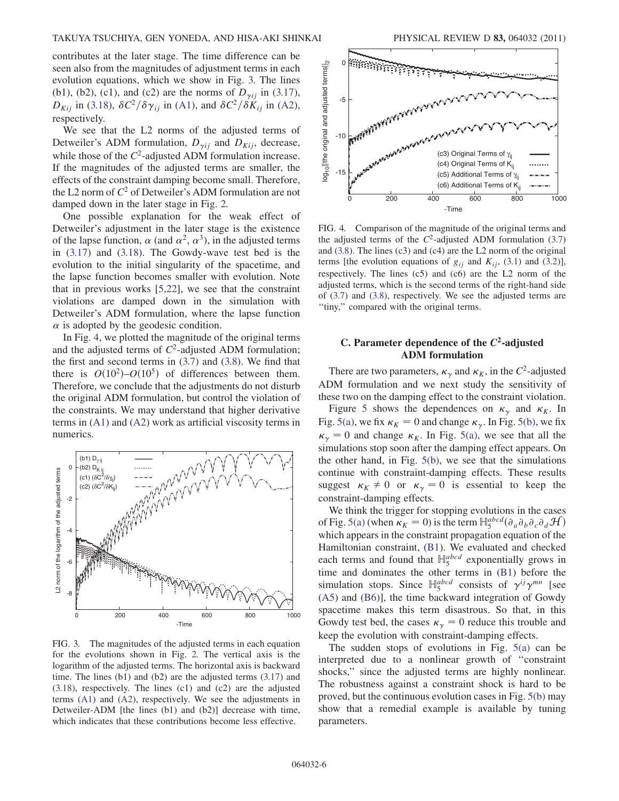contributes at the later stage. The time difference can be seen also from the magnitudes of adjustment terms in each evolution equations, which we show in Fig. [3.](#page-5-0) The lines (b1), (b2), (c1), and (c2) are the norms of  $D_{\gamma ij}$  in [\(3.17\)](#page-3-3),  $D_{Kij}$  in ([3.18](#page-3-4)),  $\delta C^2/\delta \gamma_{ij}$  in (A1), and  $\delta C^2/\delta K_{ij}$  in [\(A2\)](#page-6-1), respectively.

We see that the L2 norms of the adjusted terms of Detweiler's ADM formulation,  $D_{vii}$  and  $D_{Kii}$ , decrease, while those of the  $C^2$ -adjusted ADM formulation increase. If the magnitudes of the adjusted terms are smaller, the effects of the constraint damping become small. Therefore, the L2 norm of  $C^2$  of Detweiler's ADM formulation are not damped down in the later stage in Fig. [2.](#page-4-1)

One possible explanation for the weak effect of Detweiler's adjustment in the later stage is the existence of the lapse function,  $\alpha$  (and  $\alpha^2$ ,  $\alpha^3$ ), in the adjusted terms in ([3.17\)](#page-3-3) and [\(3.18](#page-3-4)). The Gowdy-wave test bed is the evolution to the initial singularity of the spacetime, and the lapse function becomes smaller with evolution. Note that in previous works [[5](#page-9-3),[22](#page-9-18)], we see that the constraint violations are damped down in the simulation with Detweiler's ADM formulation, where the lapse function  $\alpha$  is adopted by the geodesic condition.

In Fig. [4](#page-5-1), we plotted the magnitude of the original terms and the adjusted terms of  $C^2$ -adjusted ADM formulation; the first and second terms in  $(3.7)$  $(3.7)$  $(3.7)$  and  $(3.8)$ . We find that there is  $O(10^2)-O(10^5)$  of differences between them. Therefore, we conclude that the adjustments do not disturb the original ADM formulation, but control the violation of the constraints. We may understand that higher derivative terms in (A1) and ([A2\)](#page-6-1) work as artificial viscosity terms in numerics.

<span id="page-5-0"></span>

FIG. 3. The magnitudes of the adjusted terms in each equation for the evolutions shown in Fig. [2.](#page-4-1) The vertical axis is the logarithm of the adjusted terms. The horizontal axis is backward time. The lines (b1) and (b2) are the adjusted terms ([3.17\)](#page-3-3) and [\(3.18](#page-3-4)), respectively. The lines (c1) and (c2) are the adjusted terms (A1) and ([A2](#page-6-1)), respectively. We see the adjustments in Detweiler-ADM [the lines (b1) and (b2)] decrease with time, which indicates that these contributions become less effective.

<span id="page-5-1"></span>

FIG. 4. Comparison of the magnitude of the original terms and the adjusted terms of the  $C^2$ -adjusted ADM formulation ([3.7\)](#page-2-9) and [\(3.8\)](#page-2-10). The lines (c3) and (c4) are the L2 norm of the original terms [the evolution equations of  $g_{ij}$  and  $K_{ij}$ , ([3.1\)](#page-2-7) and [\(3.2](#page-2-8))], respectively. The lines (c5) and (c6) are the L2 norm of the adjusted terms, which is the second terms of the right-hand side of ([3.7](#page-2-9)) and ([3.8](#page-2-10)), respectively. We see the adjusted terms are ''tiny,'' compared with the original terms.

### C. Parameter dependence of the  $C<sup>2</sup>$ -adjusted ADM formulation

There are two parameters,  $\kappa_{\gamma}$  and  $\kappa_{K}$ , in the  $C^{2}$ -adjusted ADM formulation and we next study the sensitivity of these two on the damping effect to the constraint violation.

Figure [5](#page-6-3) shows the dependences on  $\kappa_{\gamma}$  and  $\kappa_{K}$ . In Fig. [5\(a\),](#page-6-4) we fix  $\kappa_K = 0$  and change  $\kappa_\gamma$ . In Fig. [5\(b\),](#page-6-4) we fix  $\kappa_{\gamma} = 0$  and change  $\kappa_{K}$ . In Fig. [5\(a\)](#page-6-4), we see that all the simulations stop soon after the damping effect appears. On the other hand, in Fig. [5\(b\),](#page-6-4) we see that the simulations continue with constraint-damping effects. These results suggest  $\kappa_K \neq 0$  or  $\kappa_\gamma = 0$  is essential to keep the constraint-damping effects.

We think the trigger for stopping evolutions in the cases of Fig. [5\(a\)](#page-6-4) (when  $\kappa_K = 0$ ) is the term  $\mathbb{H}^{abcd}_{5}(\partial_a \partial_b \partial_c \partial_d \mathcal{H})$ <br>which appears in the constraint propagation equation of the which appears in the constraint propagation equation of the Hamiltonian constraint, ([B1\)](#page-7-0). We evaluated and checked each terms and found that  $\mathbb{H}^{abcd}_{5}$  exponentially grows in time and dominates the other terms in [\(B1](#page-7-0)) before the simulation stops. Since  $\mathbb{H}_5^{abcd}$  consists of  $\gamma^{ij}\gamma^{mn}$  [see [\(A5](#page-7-2)) and [\(B6\)](#page-7-3)], the time backward integration of Gowdy spacetime makes this term disastrous. So that, in this Gowdy test bed, the cases  $\kappa_{\gamma} = 0$  reduce this trouble and keep the evolution with constraint-damping effects.

The sudden stops of evolutions in Fig.  $5(a)$  can be interpreted due to a nonlinear growth of ''constraint shocks,'' since the adjusted terms are highly nonlinear. The robustness against a constraint shock is hard to be proved, but the continuous evolution cases in Fig. [5\(b\)](#page-6-4) may show that a remedial example is available by tuning parameters.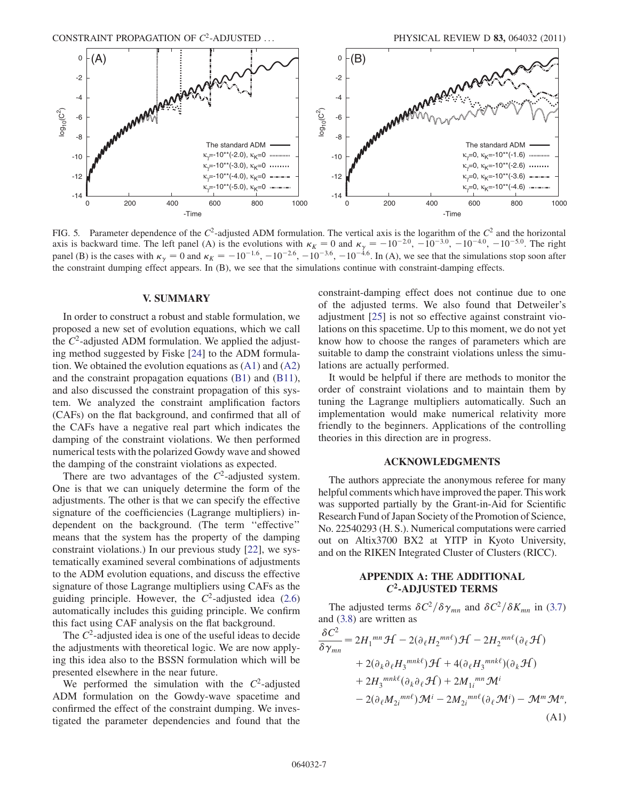<span id="page-6-3"></span>

<span id="page-6-4"></span>FIG. 5. Parameter dependence of the  $C^2$ -adjusted ADM formulation. The vertical axis is the logarithm of the  $C^2$  and the horizontal axis is backward time. The left panel (A) is the evolutions with  $\kappa_K = 0$  and  $\kappa_{\gamma} = -10^{-2.0}$ ,  $-10^{-3.0}$ ,  $-10^{-4.0}$ ,  $-10^{-5.0}$ . The right panel (B) is the cases with  $\kappa_{\gamma} = 0$  and  $\kappa_{K} = -10^{-1.6}$ ,  $-10^{-2.6}$ ,  $-10^{-3.6}$ ,  $-10^{-4.6}$ . In (A), we see that the simulations stop soon after the constraint dumping effect appears. In (B), we see that the simulations continue with constraint-damping effects.

#### V. SUMMARY

<span id="page-6-0"></span>In order to construct a robust and stable formulation, we proposed a new set of evolution equations, which we call the  $C<sup>2</sup>$ -adjusted ADM formulation. We applied the adjusting method suggested by Fiske [\[24\]](#page-9-20) to the ADM formulation. We obtained the evolution equations as  $(A1)$  and  $(A2)$  $(A2)$ and the constraint propagation equations [\(B1\)](#page-7-0) and ([B11\)](#page-8-0), and also discussed the constraint propagation of this system. We analyzed the constraint amplification factors (CAFs) on the flat background, and confirmed that all of the CAFs have a negative real part which indicates the damping of the constraint violations. We then performed numerical tests with the polarized Gowdy wave and showed the damping of the constraint violations as expected.

There are two advantages of the  $C<sup>2</sup>$ -adjusted system. One is that we can uniquely determine the form of the adjustments. The other is that we can specify the effective signature of the coefficiencies (Lagrange multipliers) independent on the background. (The term ''effective'' means that the system has the property of the damping constraint violations.) In our previous study [[22](#page-9-18)], we systematically examined several combinations of adjustments to the ADM evolution equations, and discuss the effective signature of those Lagrange multipliers using CAFs as the guiding principle. However, the  $C^2$ -adjusted idea [\(2.6\)](#page-1-4) automatically includes this guiding principle. We confirm this fact using CAF analysis on the flat background.

The  $C<sup>2</sup>$ -adjusted idea is one of the useful ideas to decide the adjustments with theoretical logic. We are now applying this idea also to the BSSN formulation which will be presented elsewhere in the near future.

We performed the simulation with the  $C<sup>2</sup>$ -adjusted ADM formulation on the Gowdy-wave spacetime and confirmed the effect of the constraint dumping. We investigated the parameter dependencies and found that the constraint-damping effect does not continue due to one of the adjusted terms. We also found that Detweiler's adjustment [[25](#page-9-21)] is not so effective against constraint violations on this spacetime. Up to this moment, we do not yet know how to choose the ranges of parameters which are suitable to damp the constraint violations unless the simulations are actually performed.

It would be helpful if there are methods to monitor the order of constraint violations and to maintain them by tuning the Lagrange multipliers automatically. Such an implementation would make numerical relativity more friendly to the beginners. Applications of the controlling theories in this direction are in progress.

### ACKNOWLEDGMENTS

The authors appreciate the anonymous referee for many helpful comments which have improved the paper. This work was supported partially by the Grant-in-Aid for Scientific Research Fund of Japan Society of the Promotion of Science, No. 22540293 (H. S.). Numerical computations were carried out on Altix3700 BX2 at YITP in Kyoto University, and on the RIKEN Integrated Cluster of Clusters (RICC).

### APPENDIX A: THE ADDITIONAL  $C^2$ -ADJUSTED TERMS

<span id="page-6-2"></span>The adjusted terms  $\delta C^2/\delta \gamma_{mn}$  and  $\delta C^2/\delta K_{mn}$  in [\(3.7\)](#page-2-9) and ([3.8](#page-2-10)) are written as

<span id="page-6-1"></span>
$$
\frac{\delta C^2}{\delta \gamma_{mn}} = 2H_1^{mn} \mathcal{H} - 2(\partial_{\ell} H_2^{mn\ell}) \mathcal{H} - 2H_2^{mn\ell} (\partial_{\ell} \mathcal{H})
$$
  
+ 2(\partial\_k \partial\_{\ell} H\_3^{mnk\ell}) \mathcal{H} + 4(\partial\_{\ell} H\_3^{mnk\ell}) (\partial\_k \mathcal{H})  
+ 2H\_3^{mnk\ell} (\partial\_k \partial\_{\ell} \mathcal{H}) + 2M\_{1i}^{mn} \mathcal{M}^i  
- 2(\partial\_{\ell} M\_{2i}^{mn\ell}) \mathcal{M}^i - 2M\_{2i}^{mn\ell} (\partial\_{\ell} \mathcal{M}^i) - \mathcal{M}^m \mathcal{M}^n, (A1)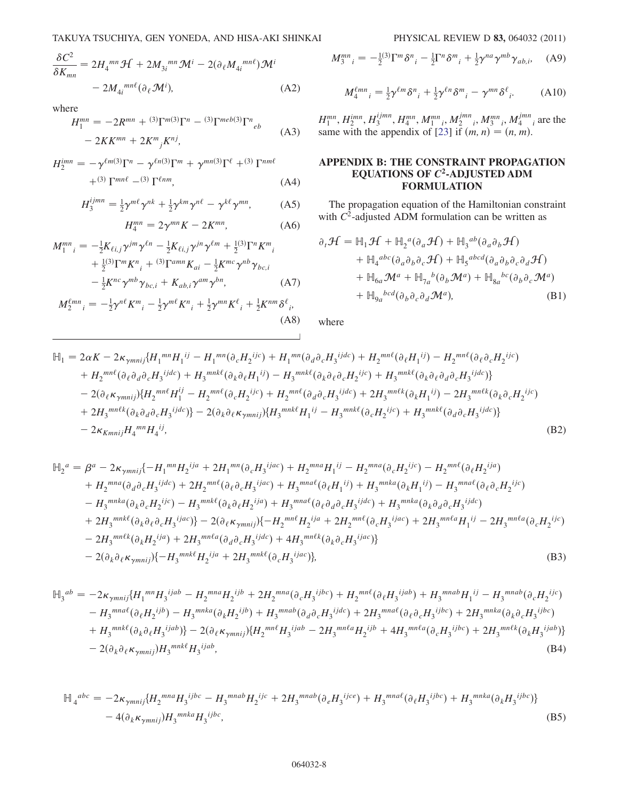<span id="page-7-0"></span>
$$
\frac{\delta C^2}{\delta K_{mn}} = 2H_4^{mn} \mathcal{H} + 2M_{3i}^{mn} \mathcal{M}^i - 2(\partial_\ell M_{4i}^{mn\ell}) \mathcal{M}^i
$$

$$
- 2M_{4i}^{mn\ell} (\partial_\ell \mathcal{M}^i), \tag{A2}
$$

where

$$
H_1^{mn} = -2R^{mn} + {^{(3)}\Gamma^{m}}{^{(3)}\Gamma^n} - {^{(3)}\Gamma^{meb}}{^{(3)}\Gamma^n}_{eb}
$$
  
- 2KK<sup>mn</sup> + 2K<sup>m</sup><sub>j</sub>K<sup>nj</sup>, (A3)

<span id="page-7-2"></span> $H_2^{imn} = -\gamma^{\ell m(3)}\Gamma^n - \gamma^{\ell n(3)}\Gamma^m + \gamma^{mn(3)}\Gamma^{\ell} + {}^{(3)}\Gamma^{nm\ell}$  $+(3) \Gamma^{mn\ell}$  – (3)  $\Gamma^{\ell nm}$ , (A4)

$$
H_3^{ijmn} = \frac{1}{2} \gamma^{m\ell} \gamma^{nk} + \frac{1}{2} \gamma^{km} \gamma^{n\ell} - \gamma^{k\ell} \gamma^{mn}, \tag{A5}
$$

$$
H_4^{mn} = 2\gamma^{mn}K - 2K^{mn},\tag{A6}
$$

$$
M_1^{mn}{}_{i} = -\frac{1}{2} K_{\ell i,j} \gamma^{jm} \gamma^{\ell n} - \frac{1}{2} K_{\ell i,j} \gamma^{jn} \gamma^{\ell m} + \frac{1}{2} {}^{(3)} \Gamma^n K^m{}_{i} + \frac{1}{2} {}^{(3)} \Gamma^m K^n{}_{i} + {}^{(3)} \Gamma^{amn} K_{ai} - \frac{1}{2} K^{mc} \gamma^{nb} \gamma_{bc,i} - \frac{1}{2} K^{nc} \gamma^{mb} \gamma_{bc,i} + K_{ab,i} \gamma^{am} \gamma^{bn},
$$
 (A7)

$$
M_2^{\ell mn}{}_{i} = -\frac{1}{2}\gamma^{n\ell}K^m{}_{i} - \frac{1}{2}\gamma^{m\ell}K^n{}_{i} + \frac{1}{2}\gamma^{mn}K^{\ell}{}_{i} + \frac{1}{2}K^{nm}\delta^{\ell}{}_{i},\tag{A8}
$$

$$
M_3^{mn}{}_{i} = -\frac{1}{2}^{(3)} \Gamma^m \delta^n{}_{i} - \frac{1}{2} \Gamma^n \delta^m{}_{i} + \frac{1}{2} \gamma^{na} \gamma^{mb} \gamma_{ab,i}, \quad \text{(A9)}
$$

$$
M_4^{\ell mn}{}_{i} = \frac{1}{2} \gamma^{\ell m} \delta^n{}_{i} + \frac{1}{2} \gamma^{\ell n} \delta^m{}_{i} - \gamma^{mn} \delta^{\ell}{}_{i}. \tag{A10}
$$

 $H_1^{mn}, H_2^{imn}, H_3^{ijmn}, H_4^{mn}, M_1^{mn}, M_2^{jmn}, M_3^{mn}, M_4^{jmn}$  are the same with the appendix of [[23](#page-9-19)] if  $(m, n) = (n, m)$ .

# <span id="page-7-1"></span>APPENDIX B: THE CONSTRAINT PROPAGATION EQUATIONS OF  $C^2$ -ADJUSTED ADM FORMULATION

The propagation equation of the Hamiltonian constraint with  $C^2$ -adjusted ADM formulation can be written as

$$
\partial_t \mathcal{H} = \mathbb{H}_1 \mathcal{H} + \mathbb{H}_2{}^a (\partial_a \mathcal{H}) + \mathbb{H}_3{}^{ab} (\partial_a \partial_b \mathcal{H})
$$
  
+  $\mathbb{H}_4{}^{abc} (\partial_a \partial_b \partial_c \mathcal{H}) + \mathbb{H}_5{}^{abcd} (\partial_a \partial_b \partial_c \partial_d \mathcal{H})$   
+  $\mathbb{H}_{6a} \mathcal{M}^a + \mathbb{H}_{7a}{}^b (\partial_b \mathcal{M}^a) + \mathbb{H}_{8a}{}^{bc} (\partial_b \partial_c \mathcal{M}^a)$   
+  $\mathbb{H}_{9a}{}^{bcd} (\partial_b \partial_c \partial_d \mathcal{M}^a),$  (B1)

where

$$
\mathbb{H}_{1} = 2\alpha K - 2\kappa_{\gamma m n i j} \{H_{1}^{mn} H_{1}^{ij} - H_{1}^{mn} (\partial_{c} H_{2}^{ijc}) + H_{1}^{mn} (\partial_{d} \partial_{c} H_{3}^{ijdc}) + H_{2}^{mn\ell} (\partial_{\ell} H_{1}^{ij}) - H_{2}^{mn\ell} (\partial_{\ell} \partial_{c} H_{2}^{ijc})
$$
  
+  $H_{2}^{mn\ell} (\partial_{\ell} \partial_{d} \partial_{c} H_{3}^{ijdc}) + H_{3}^{mnk\ell} (\partial_{k} \partial_{\ell} H_{1}^{ij}) - H_{3}^{mnk\ell} (\partial_{k} \partial_{\ell} \partial_{c} H_{2}^{ijc}) + H_{3}^{mnk\ell} (\partial_{k} \partial_{\ell} \partial_{c} H_{3}^{ijdc})\}- 2(\partial_{\ell} \kappa_{\gamma m n i j}) \{H_{2}^{mn\ell} H_{1}^{ij} - H_{2}^{mn\ell} (\partial_{c} H_{2}^{ijc}) + H_{2}^{mn\ell} (\partial_{d} \partial_{c} H_{3}^{ijdc}) + 2H_{3}^{mnk\ell} (\partial_{k} H_{1}^{ij}) - 2H_{3}^{mnk\ell} (\partial_{k} \partial_{c} H_{2}^{ijc})$   
+  $2H_{3}^{mn\ell k} (\partial_{k} \partial_{d} \partial_{c} H_{3}^{ijdc})\} - 2(\partial_{k} \partial_{\ell} \kappa_{\gamma m n i j}) \{H_{3}^{mnk\ell} H_{1}^{ij} - H_{3}^{mnk\ell} (\partial_{c} H_{2}^{ijc}) + H_{3}^{mnk\ell} (\partial_{d} \partial_{c} H_{3}^{ijdc})\}- 2\kappa_{Kmn i j} H_{4}^{mn} H_{4}^{ij},$  (B2)

$$
\mathbb{H}_{2}^{a} = \beta^{a} - 2\kappa_{\gamma m n i j} \{-H_{1}^{mn} H_{2}^{ija} + 2H_{1}^{mn} (\partial_{c} H_{3}^{ijac}) + H_{2}^{mn a} H_{1}^{i j} - H_{2}^{mn a} (\partial_{c} H_{2}^{ijc}) - H_{2}^{mn \ell} (\partial_{\ell} H_{2}^{ija}) \n+ H_{2}^{m n a} (\partial_{d} \partial_{c} H_{3}^{i j dc}) + 2H_{2}^{mn \ell} (\partial_{\ell} \partial_{c} H_{3}^{i j ac}) + H_{3}^{mn a} (\partial_{\ell} H_{1}^{i j}) + H_{3}^{mn k a} (\partial_{k} H_{1}^{i j}) - H_{3}^{mn a} (\partial_{\ell} \partial_{c} H_{2}^{i j c}) \n- H_{3}^{mn k a} (\partial_{k} \partial_{c} H_{2}^{i j c}) - H_{3}^{mn k \ell} (\partial_{k} \partial_{\ell} H_{2}^{i ja}) + H_{3}^{mn a} (\partial_{\ell} \partial_{d} \partial_{c} H_{3}^{i j dc}) + H_{3}^{mn k a} (\partial_{k} \partial_{d} \partial_{c} H_{3}^{i j dc}) \n+ 2H_{3}^{mn k \ell} (\partial_{k} \partial_{\ell} \partial_{c} H_{3}^{i j ac})\} - 2(\partial_{\ell} \kappa_{\gamma m n i j}) \{-H_{2}^{mn \ell} H_{2}^{i ja} + 2H_{2}^{mn \ell} (\partial_{c} H_{3}^{i j ac}) + 2H_{3}^{mn \ell a} H_{1}^{i j} - 2H_{3}^{mn \ell a} (\partial_{c} H_{2}^{i j c}) \n- 2H_{3}^{mn \ell k} (\partial_{k} H_{2}^{i ja}) + 2H_{3}^{mn \ell a} (\partial_{d} \partial_{c} H_{3}^{i ja c}) + 4H_{3}^{mn \ell k} (\partial_{k} \partial_{c} H_{3}^{i j ac})\} \n- 2(\partial_{k} \partial_{\ell} \kappa_{\gamma m n i j}) \{-H_{3}^{mn k \ell} H_{2}^{i ja} + 2H_{3}^{mn k \ell} (\partial_{c} H_{3}^{i j ac})\},
$$
\n(B3)

<span id="page-7-3"></span>
$$
\mathbb{H}_{3}^{ab} = -2\kappa_{\gamma m n i j} \{H_{1}^{mn} H_{3}^{ijab} - H_{2}^{mn a} H_{2}^{ijb} + 2H_{2}^{mn a} (\partial_{c} H_{3}^{ijbc}) + H_{2}^{mn \ell} (\partial_{\ell} H_{3}^{ijab}) + H_{3}^{mn ab} H_{1}^{ij} - H_{3}^{mn ab} (\partial_{c} H_{2}^{ijc})
$$
  
\n
$$
- H_{3}^{mn a \ell} (\partial_{\ell} H_{2}^{ijb}) - H_{3}^{mn k a} (\partial_{k} H_{2}^{ijb}) + H_{3}^{mn ab} (\partial_{d} \partial_{c} H_{3}^{ijdc}) + 2H_{3}^{mn a \ell} (\partial_{\ell} \partial_{c} H_{3}^{ijbc}) + 2H_{3}^{mn k a} (\partial_{k} \partial_{c} H_{3}^{ijbc})
$$
  
\n
$$
+ H_{3}^{mn k \ell} (\partial_{k} \partial_{\ell} H_{3}^{ijab}) \} - 2(\partial_{\ell} \kappa_{\gamma m n i j}) \{H_{2}^{mn \ell} H_{3}^{ijab} - 2H_{3}^{mn l a} H_{2}^{ijb} + 4H_{3}^{mn l a} (\partial_{c} H_{3}^{ijbc}) + 2H_{3}^{mn l k} (\partial_{k} H_{3}^{ijab}) \}
$$
  
\n
$$
- 2(\partial_{k} \partial_{\ell} \kappa_{\gamma m n i j}) H_{3}^{mn k \ell} H_{3}^{ijab}, \tag{B4}
$$

$$
\mathbb{H}_{4}^{abc} = -2\kappa_{\gamma m n i j} \{H_{2}^{m n a} H_{3}^{ijbc} - H_{3}^{m n a b} H_{2}^{ijc} + 2H_{3}^{m n a b} (\partial_{e} H_{3}^{ijce}) + H_{3}^{m n a \ell} (\partial_{\ell} H_{3}^{ijbc}) + H_{3}^{m n k a} (\partial_{k} H_{3}^{ijbc})\}
$$
\n
$$
-4(\partial_{k} \kappa_{\gamma m n i j}) H_{3}^{m n k a} H_{3}^{ijbc},\tag{B5}
$$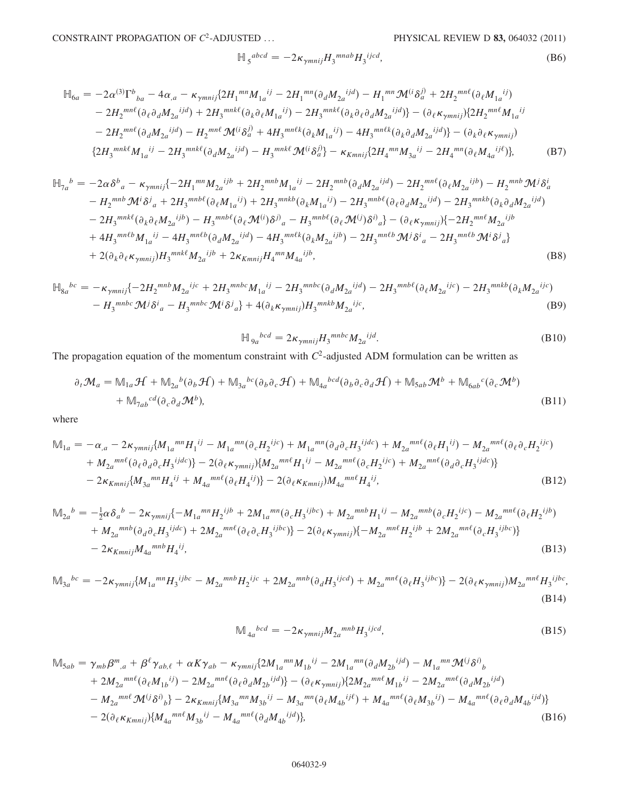CONSTRAINT PROPAGATION OF  $C^2$ -ADJUSTED ... PHYSICAL REVIEW D 83, 064032 (2011)

$$
\mathbb{H}_{5}^{abcd} = -2\kappa_{\gamma m n i j} H_{3}^{mnab} H_{3}^{ijcd}, \tag{B6}
$$

$$
\mathbb{H}_{6a} = -2\alpha^{(3)}\Gamma^{b}{}_{ba} - 4\alpha_{,a} - \kappa_{\gamma m n i j} \{2H_{1}^{mn}M_{1a}^{ij} - 2H_{1}^{mn}(\partial_{d}M_{2a}^{ijd}) - H_{1}^{mn}\mathcal{M}^{(i}\delta_{a}^{j)} + 2H_{2}^{mn\ell}(\partial_{\ell}M_{1a}^{ij})
$$
  
\n
$$
-2H_{2}^{mn\ell}(\partial_{\ell}\partial_{d}M_{2a}^{ijd}) + 2H_{3}^{mnk\ell}(\partial_{k}\partial_{\ell}M_{1a}^{ij}) - 2H_{3}^{mnk\ell}(\partial_{k}\partial_{\ell}\partial_{d}M_{2a}^{ijd})\} - (\partial_{\ell}\kappa_{\gamma m n i j})\{2H_{2}^{mn\ell}M_{1a}^{ij}
$$
  
\n
$$
-2H_{2}^{mn\ell}(\partial_{d}M_{2a}^{ijd}) - H_{2}^{mn\ell}\mathcal{M}^{(i}\delta_{a}^{j)} + 4H_{3}^{mn\ell k}(\partial_{k}M_{1a}^{ij}) - 4H_{3}^{mn\ell k}(\partial_{k}\partial_{d}M_{2a}^{ijd})\} - (\partial_{k}\partial_{\ell}\kappa_{\gamma m n i j})
$$
  
\n
$$
\{2H_{3}^{mnk\ell}M_{1a}^{ij} - 2H_{3}^{mnk\ell}(\partial_{d}M_{2a}^{ijd}) - H_{3}^{mnk\ell}\mathcal{M}^{(i}\delta_{a}^{j)}\} - \kappa_{Kmn i j}\{2H_{4}^{mn}M_{3a}^{ij} - 2H_{4}^{mn}(\partial_{\ell}M_{4a}^{ij\ell})\},
$$
 (B7)

$$
\mathbb{H}_{7a}{}^{b} = -2\alpha\delta^{b}{}_{a} - \kappa_{\gamma mnij}\{-2H_{1}{}^{mn}M_{2a}{}^{ijb} + 2H_{2}{}^{mnb}M_{1a}{}^{ij} - 2H_{2}{}^{mnb}(\partial_{d}M_{2a}{}^{ijd}) - 2H_{2}{}^{mn\ell}(\partial_{\ell}M_{2a}{}^{ijb}) - H_{2}{}^{mnb}\mathcal{M}^{j}\delta^{i}_{a} \n- H_{2}{}^{mnb}\mathcal{M}^{i}\delta^{j}{}_{a} + 2H_{3}{}^{mnb\ell}(\partial_{\ell}M_{1a}{}^{ij}) + 2H_{3}{}^{mnkb}(\partial_{k}M_{1a}{}^{ij}) - 2H_{3}{}^{mnb\ell}(\partial_{\ell}\partial_{d}M_{2a}{}^{ijd}) - 2H_{3}{}^{mnkb}(\partial_{k}\partial_{d}M_{2a}{}^{ijd}) \n- 2H_{3}{}^{mnk\ell}(\partial_{k}\partial_{\ell}M_{2a}{}^{ijb}) - H_{3}{}^{mnb\ell}(\partial_{\ell}\mathcal{M}^{i})\delta^{j)}{}_{a} - H_{3}{}^{mnb\ell}(\partial_{\ell}\mathcal{M}^{j})\delta^{i}{}_{a}\} - (\partial_{\ell}\kappa_{\gamma mnij})\{-2H_{2}{}^{mn\ell}M_{2a}{}^{ijb} \n+ 4H_{3}{}^{mn\ell b}M_{1a}{}^{ij} - 4H_{3}{}^{mn\ell b}(\partial_{d}M_{2a}{}^{ijd}) - 4H_{3}{}^{mn\ell k}(\partial_{k}M_{2a}{}^{ijb}) - 2H_{3}{}^{mn\ell b}\mathcal{M}^{j}\delta^{i}{}_{a} - 2H_{3}{}^{mn\ell b}\mathcal{M}^{i}\delta^{j}{}_{a}\} \n+ 2(\partial_{k}\partial_{\ell}\kappa_{\gamma mnij})H_{3}{}^{mnk\ell}M_{2a}{}^{ijb} + 2\kappa_{Kmnij}H_{4}{}^{mn}M_{4a}{}^{ijb},
$$
\n(B8)

$$
\mathbb{H}_{8a}^{bc} = -\kappa_{\gamma m n i j} \{-2H_2^{m n b} M_{2a}^{i j c} + 2H_3^{m n b c} M_{1a}^{i j} - 2H_3^{m n b c} (\partial_d M_{2a}^{i j d}) - 2H_3^{m n b \ell} (\partial_{\ell} M_{2a}^{i j c}) - 2H_3^{m n k b} (\partial_k M_{2a}^{i j c}) - H_3^{m n b c} \mathcal{M}^j \delta^i{}_a - H_3^{m n b c} \mathcal{M}^i \delta^j{}_a \} + 4(\partial_k \kappa_{\gamma m n i j}) H_3^{m n k b} M_{2a}^{i j c}, \tag{B9}
$$

$$
\mathbb{H}_{9a}^{bcd} = 2\kappa_{\gamma m n i j} H_3^{m n b c} M_{2a}^{ij d}.
$$
\n(B10)

<span id="page-8-0"></span>The propagation equation of the momentum constraint with  $C^2$ -adjusted ADM formulation can be written as

$$
\partial_t \mathcal{M}_a = \mathbb{M}_{1a} \mathcal{H} + \mathbb{M}_{2a}{}^b(\partial_b \mathcal{H}) + \mathbb{M}_{3a}{}^{bc}(\partial_b \partial_c \mathcal{H}) + \mathbb{M}_{4a}{}^{bcd}(\partial_b \partial_c \partial_d \mathcal{H}) + \mathbb{M}_{5ab} \mathcal{M}^b + \mathbb{M}_{6ab}{}^c(\partial_c \mathcal{M}^b)
$$
  
+  $\mathbb{M}_{7ab}{}^{cd}(\partial_c \partial_d \mathcal{M}^b)$ , (B11)

where

$$
\mathbb{M}_{1a} = -\alpha_{,a} - 2\kappa_{\gamma m n i j} \{ M_{1a}{}^{mn} H_1{}^{ij} - M_{1a}{}^{mn} (\partial_c H_2{}^{ijc}) + M_{1a}{}^{mn} (\partial_d \partial_c H_3{}^{ijdc}) + M_{2a}{}^{mn\ell} (\partial_{\ell} H_1{}^{ij}) - M_{2a}{}^{mn\ell} (\partial_{\ell} \partial_c H_2{}^{ijc})
$$
  
+  $M_{2a}{}^{mn\ell} (\partial_{\ell} \partial_d \partial_c H_3{}^{ijdc}) \} - 2(\partial_{\ell} \kappa_{\gamma m n i j}) \{ M_{2a}{}^{mn\ell} H_1{}^{ij} - M_{2a}{}^{mn\ell} (\partial_c H_2{}^{ijc}) + M_{2a}{}^{mn\ell} (\partial_d \partial_c H_3{}^{ijdc}) \}$   
-  $2\kappa_{Kmn i j} \{ M_{3a}{}^{mn} H_4{}^{ij} + M_{4a}{}^{mn\ell} (\partial_{\ell} H_4{}^{ij}) \} - 2(\partial_{\ell} \kappa_{Kmn i j}) M_{4a}{}^{mn\ell} H_4{}^{ij},$  (B12)

$$
\mathbb{M}_{2a}^{b} = -\frac{1}{2}\alpha\delta_{a}^{b} - 2\kappa_{\gamma m n i j}\{-M_{1a}^{mn}H_{2}^{ijb} + 2M_{1a}^{mn}(\partial_{c}H_{3}^{ijbc}) + M_{2a}^{mnb}H_{1}^{ij} - M_{2a}^{mnb}(\partial_{c}H_{2}^{ijc}) - M_{2a}^{mn\ell}(\partial_{\ell}H_{2}^{ijb})
$$
  
+  $M_{2a}^{mnb}(\partial_{d}\partial_{c}H_{3}^{ijdc}) + 2M_{2a}^{mn\ell}(\partial_{\ell}\partial_{c}H_{3}^{ijbc})\} - 2(\partial_{\ell}\kappa_{\gamma m n i j})\{-M_{2a}^{mn\ell}H_{2}^{ijb} + 2M_{2a}^{mn\ell}(\partial_{c}H_{3}^{ijbc})\}$   
-  $2\kappa_{Kmn i j}M_{4a}^{mnb}H_{4}^{ij}$ , (B13)

$$
\mathbb{M}_{3a}^{bc} = -2\kappa_{\gamma m n i j} \{ M_{1a}^{mn} H_3^{ijbc} - M_{2a}^{mnb} H_2^{ijc} + 2M_{2a}^{mnb} (\partial_d H_3^{ijcd}) + M_{2a}^{mn\ell} (\partial_\ell H_3^{ijbc}) \} - 2(\partial_\ell \kappa_{\gamma m n i j}) M_{2a}^{mn\ell} H_3^{ijbc},
$$
\n(B14)

$$
\mathcal{M}_{4a}{}^{bcd} = -2\kappa_{\gamma m n i j} M_{2a}{}^{m n b} H_3{}^{ij cd},\tag{B15}
$$

$$
\mathbb{M}_{5ab} = \gamma_{mb}\beta^{m}_{,a} + \beta^{\ell}\gamma_{ab,\ell} + \alpha K\gamma_{ab} - \kappa_{\gamma mnij}\{2M_{1a}^{mn}M_{1b}^{ij} - 2M_{1a}^{mn}(\partial_d M_{2b}^{ijd}) - M_{1a}^{mn}\mathcal{M}^{(j}\delta^{i)}_{b} \n+ 2M_{2a}^{mn\ell}(\partial_{\ell}M_{1b}^{ij}) - 2M_{2a}^{mn\ell}(\partial_{\ell}\partial_{d}M_{2b}^{ijd})\} - (\partial_{\ell}\kappa_{\gamma mnij})\{2M_{2a}^{mn\ell}M_{1b}^{ij} - 2M_{2a}^{mn\ell}(\partial_{d}M_{2b}^{ijd}) \n- M_{2a}^{mn\ell}\mathcal{M}^{(j}\delta^{i)}_{b}\} - 2\kappa_{Kmnij}\{M_{3a}^{mn}M_{3b}^{ij} - M_{3a}^{mn}(\partial_{\ell}M_{4b}^{ij\ell}) + M_{4a}^{mn\ell}(\partial_{\ell}M_{3b}^{ij}) - M_{4a}^{mn\ell}(\partial_{\ell}\partial_{d}M_{4b}^{ijd})\} \n- 2(\partial_{\ell}\kappa_{Kmnij})\{M_{4a}^{mn\ell}M_{3b}^{ij} - M_{4a}^{mn\ell}(\partial_{d}M_{4b}^{ijd})\},
$$
\n(B16)